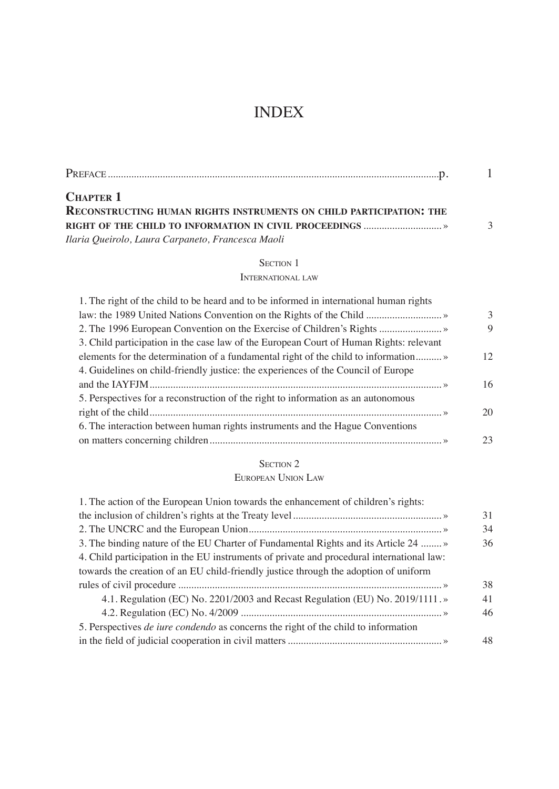# INDEX

| <b>CHAPTER 1</b>                                                    |               |
|---------------------------------------------------------------------|---------------|
| RECONSTRUCTING HUMAN RIGHTS INSTRUMENTS ON CHILD PARTICIPATION: THE |               |
|                                                                     | $\mathcal{R}$ |
| Ilaria Queirolo, Laura Carpaneto, Francesca Maoli                   |               |

## SECTION 1

### International law

| 1. The right of the child to be heard and to be informed in international human rights |    |
|----------------------------------------------------------------------------------------|----|
|                                                                                        | 3  |
|                                                                                        | 9  |
| 3. Child participation in the case law of the European Court of Human Rights: relevant |    |
|                                                                                        | 12 |
| 4. Guidelines on child-friendly justice: the experiences of the Council of Europe      |    |
|                                                                                        | 16 |
| 5. Perspectives for a reconstruction of the right to information as an autonomous      |    |
|                                                                                        | 20 |
| 6. The interaction between human rights instruments and the Hague Conventions          |    |
|                                                                                        | 23 |

## SECTION 2

## European Union Law

| 1. The action of the European Union towards the enhancement of children's rights:         |    |
|-------------------------------------------------------------------------------------------|----|
|                                                                                           | 31 |
|                                                                                           | 34 |
| 3. The binding nature of the EU Charter of Fundamental Rights and its Article 24          | 36 |
| 4. Child participation in the EU instruments of private and procedural international law: |    |
| towards the creation of an EU child-friendly justice through the adoption of uniform      |    |
|                                                                                           | 38 |
| 4.1. Regulation (EC) No. 2201/2003 and Recast Regulation (EU) No. 2019/1111. »            | 41 |
|                                                                                           | 46 |
| 5. Perspectives <i>de iure condendo</i> as concerns the right of the child to information |    |
|                                                                                           | 48 |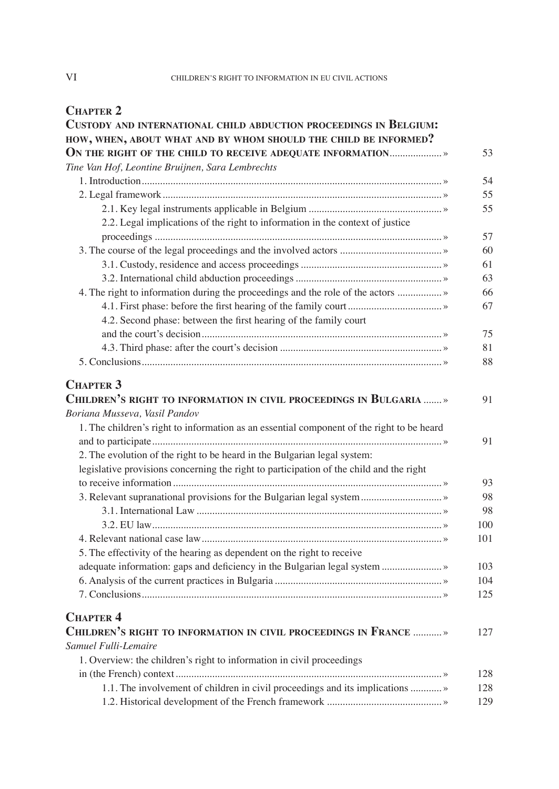## **Chapter 2**

| CUSTODY AND INTERNATIONAL CHILD ABDUCTION PROCEEDINGS IN BELGIUM:                                                                                                                                 |          |
|---------------------------------------------------------------------------------------------------------------------------------------------------------------------------------------------------|----------|
| HOW, WHEN, ABOUT WHAT AND BY WHOM SHOULD THE CHILD BE INFORMED?                                                                                                                                   |          |
| ON THE RIGHT OF THE CHILD TO RECEIVE ADEQUATE INFORMATION                                                                                                                                         | 53       |
| Tine Van Hof, Leontine Bruijnen, Sara Lembrechts                                                                                                                                                  |          |
|                                                                                                                                                                                                   | 54       |
|                                                                                                                                                                                                   | 55       |
|                                                                                                                                                                                                   | 55       |
| 2.2. Legal implications of the right to information in the context of justice                                                                                                                     | 57       |
|                                                                                                                                                                                                   | 60       |
|                                                                                                                                                                                                   | 61       |
|                                                                                                                                                                                                   | 63       |
| 4. The right to information during the proceedings and the role of the actors  »                                                                                                                  | 66       |
|                                                                                                                                                                                                   | 67       |
| 4.2. Second phase: between the first hearing of the family court                                                                                                                                  |          |
|                                                                                                                                                                                                   | 75       |
|                                                                                                                                                                                                   | 81       |
|                                                                                                                                                                                                   | 88       |
| CHILDREN'S RIGHT TO INFORMATION IN CIVIL PROCEEDINGS IN BULGARIA  »<br>Boriana Musseva, Vasil Pandov<br>1. The children's right to information as an essential component of the right to be heard | 91<br>91 |
| 2. The evolution of the right to be heard in the Bulgarian legal system:                                                                                                                          |          |
| legislative provisions concerning the right to participation of the child and the right                                                                                                           | 93       |
|                                                                                                                                                                                                   | 98       |
|                                                                                                                                                                                                   | 98       |
|                                                                                                                                                                                                   | 100      |
|                                                                                                                                                                                                   | 101      |
| 5. The effectivity of the hearing as dependent on the right to receive                                                                                                                            |          |
| adequate information: gaps and deficiency in the Bulgarian legal system  »                                                                                                                        | 103      |
|                                                                                                                                                                                                   | 104      |
|                                                                                                                                                                                                   | 125      |
|                                                                                                                                                                                                   |          |
| <b>CHAPTER 4</b><br>CHILDREN'S RIGHT TO INFORMATION IN CIVIL PROCEEDINGS IN FRANCE  »                                                                                                             | 127      |
| Samuel Fulli-Lemaire                                                                                                                                                                              |          |
| 1. Overview: the children's right to information in civil proceedings                                                                                                                             |          |
|                                                                                                                                                                                                   | 128      |
| 1.1. The involvement of children in civil proceedings and its implications  »                                                                                                                     | 128      |
|                                                                                                                                                                                                   | 129      |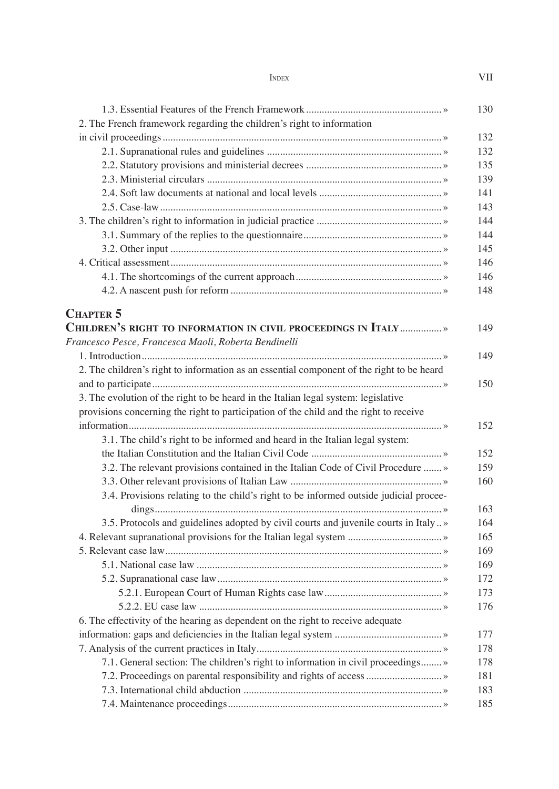| <b>INDEX</b> | VII |
|--------------|-----|
|              |     |

| 2. The French framework regarding the children's right to information                     |  |
|-------------------------------------------------------------------------------------------|--|
|                                                                                           |  |
|                                                                                           |  |
|                                                                                           |  |
|                                                                                           |  |
|                                                                                           |  |
|                                                                                           |  |
|                                                                                           |  |
|                                                                                           |  |
|                                                                                           |  |
|                                                                                           |  |
|                                                                                           |  |
|                                                                                           |  |
|                                                                                           |  |
| <b>CHAPTER 5</b>                                                                          |  |
| CHILDREN'S RIGHT TO INFORMATION IN CIVIL PROCEEDINGS IN ITALY  »                          |  |
| Francesco Pesce, Francesca Maoli, Roberta Bendinelli                                      |  |
|                                                                                           |  |
| 2. The children's right to information as an essential component of the right to be heard |  |
|                                                                                           |  |
| 3. The evolution of the right to be heard in the Italian legal system: legislative        |  |
| provisions concerning the right to participation of the child and the right to receive    |  |
|                                                                                           |  |
| 3.1. The child's right to be informed and heard in the Italian legal system:              |  |
|                                                                                           |  |
| 3.2. The relevant provisions contained in the Italian Code of Civil Procedure  »          |  |
|                                                                                           |  |
| 3.4. Provisions relating to the child's right to be informed outside judicial procee-     |  |
| 3.5. Protocols and guidelines adopted by civil courts and juvenile courts in Italy»       |  |
|                                                                                           |  |
|                                                                                           |  |
|                                                                                           |  |
|                                                                                           |  |
|                                                                                           |  |
|                                                                                           |  |
| 6. The effectivity of the hearing as dependent on the right to receive adequate           |  |
|                                                                                           |  |
|                                                                                           |  |
| 7.1. General section: The children's right to information in civil proceedings »          |  |
|                                                                                           |  |
|                                                                                           |  |
|                                                                                           |  |
|                                                                                           |  |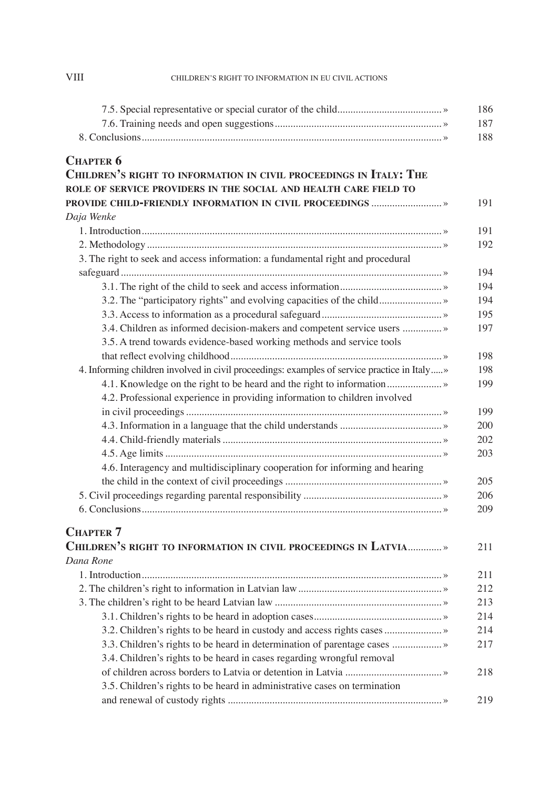| <b>CHAPTER 6</b>                                                                            |  |
|---------------------------------------------------------------------------------------------|--|
| CHILDREN'S RIGHT TO INFORMATION IN CIVIL PROCEEDINGS IN ITALY: THE                          |  |
| ROLE OF SERVICE PROVIDERS IN THE SOCIAL AND HEALTH CARE FIELD TO                            |  |
|                                                                                             |  |
| Daja Wenke                                                                                  |  |
|                                                                                             |  |
|                                                                                             |  |
| 3. The right to seek and access information: a fundamental right and procedural             |  |
|                                                                                             |  |
|                                                                                             |  |
| 3.2. The "participatory rights" and evolving capacities of the child»                       |  |
|                                                                                             |  |
| 3.4. Children as informed decision-makers and competent service users  »                    |  |
| 3.5. A trend towards evidence-based working methods and service tools                       |  |
|                                                                                             |  |
| 4. Informing children involved in civil proceedings: examples of service practice in Italy» |  |
| 4.1. Knowledge on the right to be heard and the right to information                        |  |
| 4.2. Professional experience in providing information to children involved                  |  |
|                                                                                             |  |
|                                                                                             |  |
|                                                                                             |  |
|                                                                                             |  |
| 4.6. Interagency and multidisciplinary cooperation for informing and hearing                |  |
|                                                                                             |  |
|                                                                                             |  |
|                                                                                             |  |
| <b>CHAPTER 7</b>                                                                            |  |
| CHILDREN'S RIGHT TO INFORMATION IN CIVIL PROCEEDINGS IN LATVIA »                            |  |
| Dana Rone                                                                                   |  |
|                                                                                             |  |
|                                                                                             |  |
|                                                                                             |  |
|                                                                                             |  |
| 3.2. Children's rights to be heard in custody and access rights cases  »                    |  |
| 3.3. Children's rights to be heard in determination of parentage cases  »                   |  |
| 3.4. Children's rights to be heard in cases regarding wrongful removal                      |  |
|                                                                                             |  |
| 3.5. Children's rights to be heard in administrative cases on termination                   |  |
|                                                                                             |  |

## VIII CHILDREN'S RIGHT TO INFORMATION IN EU CIVIL ACTIONS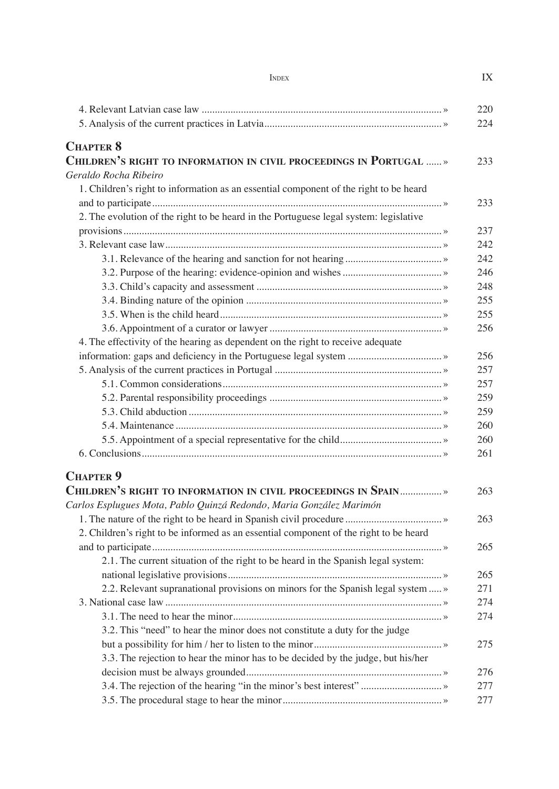| <b>INDEX</b> | IX |
|--------------|----|
|              |    |

|                                                                                         | 220 |
|-----------------------------------------------------------------------------------------|-----|
|                                                                                         | 224 |
|                                                                                         |     |
| <b>CHAPTER 8</b><br>CHILDREN'S RIGHT TO INFORMATION IN CIVIL PROCEEDINGS IN PORTUGAL  » | 233 |
| Geraldo Rocha Ribeiro                                                                   |     |
| 1. Children's right to information as an essential component of the right to be heard   |     |
|                                                                                         | 233 |
| 2. The evolution of the right to be heard in the Portuguese legal system: legislative   |     |
|                                                                                         | 237 |
|                                                                                         | 242 |
|                                                                                         | 242 |
|                                                                                         | 246 |
|                                                                                         | 248 |
|                                                                                         | 255 |
|                                                                                         | 255 |
|                                                                                         | 256 |
| 4. The effectivity of the hearing as dependent on the right to receive adequate         |     |
|                                                                                         | 256 |
|                                                                                         | 257 |
|                                                                                         | 257 |
|                                                                                         | 259 |
|                                                                                         | 259 |
|                                                                                         | 260 |
|                                                                                         | 260 |
|                                                                                         | 261 |
|                                                                                         |     |
| <b>CHAPTER 9</b>                                                                        |     |
| CHILDREN'S RIGHT TO INFORMATION IN CIVIL PROCEEDINGS IN SPAIN                           | 263 |
| Carlos Esplugues Mota, Pablo Quinzá Redondo, Maria González Marimón                     |     |
|                                                                                         | 263 |
| 2. Children's right to be informed as an essential component of the right to be heard   |     |
|                                                                                         | 265 |
| 2.1. The current situation of the right to be heard in the Spanish legal system:        |     |
|                                                                                         | 265 |
| 2.2. Relevant supranational provisions on minors for the Spanish legal system  »        | 271 |
|                                                                                         | 274 |
|                                                                                         | 274 |
| 3.2. This "need" to hear the minor does not constitute a duty for the judge             |     |
|                                                                                         | 275 |
| 3.3. The rejection to hear the minor has to be decided by the judge, but his/her        |     |
|                                                                                         | 276 |
|                                                                                         | 277 |
|                                                                                         | 277 |